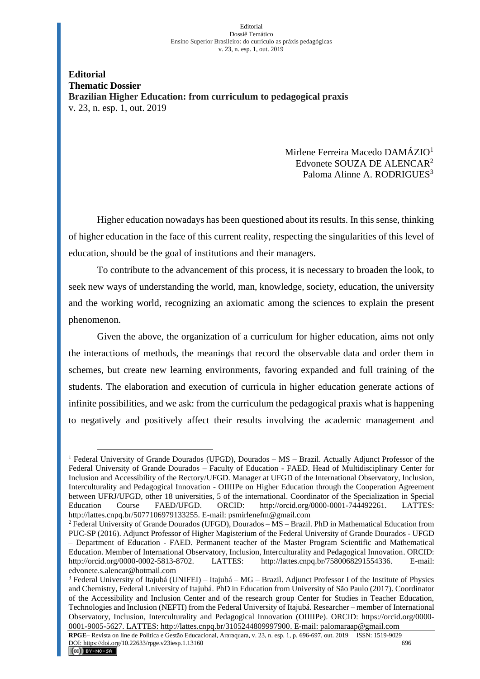## Editorial Dossiê Temático Ensino Superior Brasileiro: do currículo as práxis pedagógicas v. 23, n. esp. 1, out. 2019

**Editorial Thematic Dossier Brazilian Higher Education: from curriculum to pedagogical praxis** v. 23, n. esp. 1, out. 2019

> Mirlene Ferreira Macedo DAMÁZIO<sup>1</sup> Edvonete SOUZA DE ALENCAR<sup>2</sup> Paloma Alinne A. RODRIGUES<sup>3</sup>

Higher education nowadays has been questioned about its results. In this sense, thinking of higher education in the face of this current reality, respecting the singularities of this level of education, should be the goal of institutions and their managers.

To contribute to the advancement of this process, it is necessary to broaden the look, to seek new ways of understanding the world, man, knowledge, society, education, the university and the working world, recognizing an axiomatic among the sciences to explain the present phenomenon.

Given the above, the organization of a curriculum for higher education, aims not only the interactions of methods, the meanings that record the observable data and order them in schemes, but create new learning environments, favoring expanded and full training of the students. The elaboration and execution of curricula in higher education generate actions of infinite possibilities, and we ask: from the curriculum the pedagogical praxis what is happening to negatively and positively affect their results involving the academic management and

<sup>&</sup>lt;sup>1</sup> Federal University of Grande Dourados (UFGD), Dourados –  $MS - Brazil$ . Actually Adjunct Professor of the Federal University of Grande Dourados – Faculty of Education - FAED. Head of Multidisciplinary Center for Inclusion and Accessibility of the Rectory/UFGD. Manager at UFGD of the International Observatory, Inclusion, Interculturality and Pedagogical Innovation - OIIIIPe on Higher Education through the Cooperation Agreement between UFRJ/UFGD, other 18 universities, 5 of the international. Coordinator of the Specialization in Special Education Course FAED/UFGD. ORCID: http://orcid.org/0000-0001-744492261. LATTES: http://lattes.cnpq.br/5077106979133255. E-mail: psmirlenefm@gmail.com

<sup>2</sup> Federal University of Grande Dourados (UFGD), Dourados – MS – Brazil. PhD in Mathematical Education from PUC-SP (2016). Adjunct Professor of Higher Magisterium of the Federal University of Grande Dourados - UFGD – Department of Education - FAED. Permanent teacher of the Master Program Scientific and Mathematical Education. Member of International Observatory, Inclusion, Interculturality and Pedagogical Innovation. ORCID: http://orcid.org/0000-0002-5813-8702. LATTES: http://lattes.cnpq.br/7580068291554336. E-mail: edvonete.s.alencar@hotmail.com

 $3$  Federal University of Itajubá (UNIFEI) – Itajubá – MG – Brazil. Adjunct Professor I of the Institute of Physics and Chemistry, Federal University of Itajubá. PhD in Education from University of São Paulo (2017). Coordinator of the Accessibility and Inclusion Center and of the research group Center for Studies in Teacher Education, Technologies and Inclusion (NEFTI) from the Federal University of Itajubá. Researcher – member of International Observatory, Inclusion, Interculturality and Pedagogical Innovation (OIIIIPe). ORCID: https://orcid.org/0000- 0001-9005-5627. LATTES: http://lattes.cnpq.br/3105244809997900. E-mail: palomaraap@gmail.com